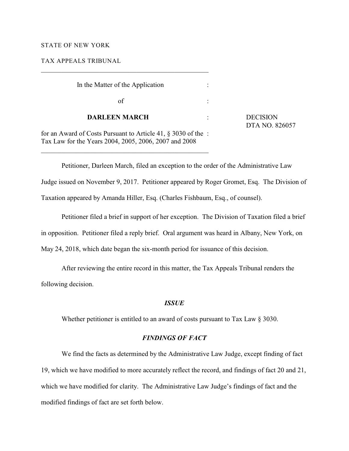#### STATE OF NEW YORK

TAX APPEALS TRIBUNAL

| In the Matter of the Application                            |           |                                   |
|-------------------------------------------------------------|-----------|-----------------------------------|
| of`                                                         |           |                                   |
| <b>DARLEEN MARCH</b>                                        | $\bullet$ | <b>DECISION</b><br>DTA NO. 826057 |
| for an Award of Costs Durswant to Article 41, 8,2020 of the |           |                                   |

for an Award of Costs Pursuant to Article 41, § 3030 of the : Tax Law for the Years 2004, 2005, 2006, 2007 and 2008

\_\_\_\_\_\_\_\_\_\_\_\_\_\_\_\_\_\_\_\_\_\_\_\_\_\_\_\_\_\_\_\_\_\_\_\_\_\_\_\_\_\_\_\_\_\_\_\_\_

\_\_\_\_\_\_\_\_\_\_\_\_\_\_\_\_\_\_\_\_\_\_\_\_\_\_\_\_\_\_\_\_\_\_\_\_\_\_\_\_\_\_\_\_\_\_\_\_\_

Petitioner, Darleen March, filed an exception to the order of the Administrative Law Judge issued on November 9, 2017. Petitioner appeared by Roger Gromet, Esq. The Division of Taxation appeared by Amanda Hiller, Esq. (Charles Fishbaum, Esq., of counsel).

Petitioner filed a brief in support of her exception. The Division of Taxation filed a brief in opposition. Petitioner filed a reply brief. Oral argument was heard in Albany, New York, on May 24, 2018, which date began the six-month period for issuance of this decision.

After reviewing the entire record in this matter, the Tax Appeals Tribunal renders the following decision.

### *ISSUE*

Whether petitioner is entitled to an award of costs pursuant to Tax Law § 3030.

## *FINDINGS OF FACT*

We find the facts as determined by the Administrative Law Judge, except finding of fact 19, which we have modified to more accurately reflect the record, and findings of fact 20 and 21, which we have modified for clarity. The Administrative Law Judge's findings of fact and the modified findings of fact are set forth below.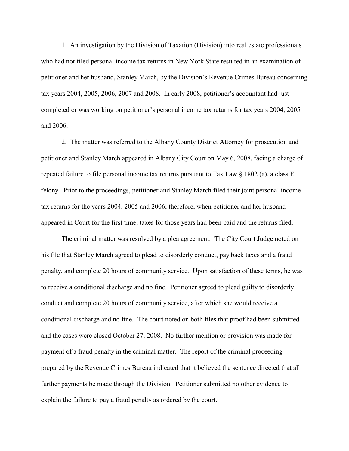1. An investigation by the Division of Taxation (Division) into real estate professionals who had not filed personal income tax returns in New York State resulted in an examination of petitioner and her husband, Stanley March, by the Division's Revenue Crimes Bureau concerning tax years 2004, 2005, 2006, 2007 and 2008. In early 2008, petitioner's accountant had just completed or was working on petitioner's personal income tax returns for tax years 2004, 2005 and 2006.

2. The matter was referred to the Albany County District Attorney for prosecution and petitioner and Stanley March appeared in Albany City Court on May 6, 2008, facing a charge of repeated failure to file personal income tax returns pursuant to Tax Law  $\S$  1802 (a), a class E felony. Prior to the proceedings, petitioner and Stanley March filed their joint personal income tax returns for the years 2004, 2005 and 2006; therefore, when petitioner and her husband appeared in Court for the first time, taxes for those years had been paid and the returns filed.

The criminal matter was resolved by a plea agreement. The City Court Judge noted on his file that Stanley March agreed to plead to disorderly conduct, pay back taxes and a fraud penalty, and complete 20 hours of community service. Upon satisfaction of these terms, he was to receive a conditional discharge and no fine. Petitioner agreed to plead guilty to disorderly conduct and complete 20 hours of community service, after which she would receive a conditional discharge and no fine. The court noted on both files that proof had been submitted and the cases were closed October 27, 2008. No further mention or provision was made for payment of a fraud penalty in the criminal matter. The report of the criminal proceeding prepared by the Revenue Crimes Bureau indicated that it believed the sentence directed that all further payments be made through the Division. Petitioner submitted no other evidence to explain the failure to pay a fraud penalty as ordered by the court.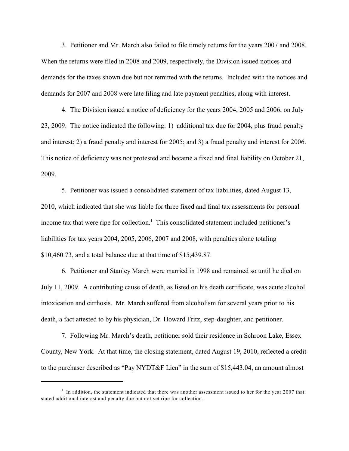3. Petitioner and Mr. March also failed to file timely returns for the years 2007 and 2008. When the returns were filed in 2008 and 2009, respectively, the Division issued notices and demands for the taxes shown due but not remitted with the returns. Included with the notices and demands for 2007 and 2008 were late filing and late payment penalties, along with interest.

4. The Division issued a notice of deficiency for the years 2004, 2005 and 2006, on July 23, 2009. The notice indicated the following: 1) additional tax due for 2004, plus fraud penalty and interest; 2) a fraud penalty and interest for 2005; and 3) a fraud penalty and interest for 2006. This notice of deficiency was not protested and became a fixed and final liability on October 21, 2009.

5. Petitioner was issued a consolidated statement of tax liabilities, dated August 13, 2010, which indicated that she was liable for three fixed and final tax assessments for personal income tax that were ripe for collection.<sup>1</sup> This consolidated statement included petitioner's liabilities for tax years 2004, 2005, 2006, 2007 and 2008, with penalties alone totaling \$10,460.73, and a total balance due at that time of \$15,439.87.

6. Petitioner and Stanley March were married in 1998 and remained so until he died on July 11, 2009. A contributing cause of death, as listed on his death certificate, was acute alcohol intoxication and cirrhosis. Mr. March suffered from alcoholism for several years prior to his death, a fact attested to by his physician, Dr. Howard Fritz, step-daughter, and petitioner.

7. Following Mr. March's death, petitioner sold their residence in Schroon Lake, Essex County, New York. At that time, the closing statement, dated August 19, 2010, reflected a credit to the purchaser described as "Pay NYDT&F Lien" in the sum of \$15,443.04, an amount almost

 $<sup>1</sup>$  In addition, the statement indicated that there was another assessment issued to her for the year 2007 that</sup> stated additional interest and penalty due but not yet ripe for collection.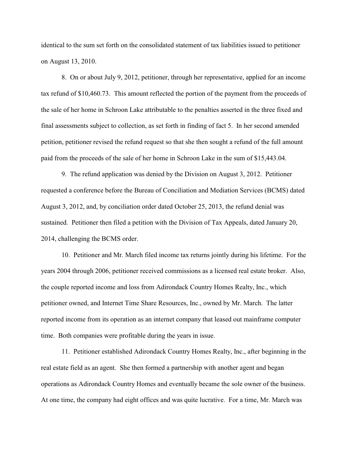identical to the sum set forth on the consolidated statement of tax liabilities issued to petitioner on August 13, 2010.

8. On or about July 9, 2012, petitioner, through her representative, applied for an income tax refund of \$10,460.73. This amount reflected the portion of the payment from the proceeds of the sale of her home in Schroon Lake attributable to the penalties asserted in the three fixed and final assessments subject to collection, as set forth in finding of fact 5. In her second amended petition, petitioner revised the refund request so that she then sought a refund of the full amount paid from the proceeds of the sale of her home in Schroon Lake in the sum of \$15,443.04.

9. The refund application was denied by the Division on August 3, 2012. Petitioner requested a conference before the Bureau of Conciliation and Mediation Services (BCMS) dated August 3, 2012, and, by conciliation order dated October 25, 2013, the refund denial was sustained. Petitioner then filed a petition with the Division of Tax Appeals, dated January 20, 2014, challenging the BCMS order.

10. Petitioner and Mr. March filed income tax returns jointly during his lifetime. For the years 2004 through 2006, petitioner received commissions as a licensed real estate broker. Also, the couple reported income and loss from Adirondack Country Homes Realty, Inc., which petitioner owned, and Internet Time Share Resources, Inc., owned by Mr. March. The latter reported income from its operation as an internet company that leased out mainframe computer time. Both companies were profitable during the years in issue.

11. Petitioner established Adirondack Country Homes Realty, Inc., after beginning in the real estate field as an agent. She then formed a partnership with another agent and began operations as Adirondack Country Homes and eventually became the sole owner of the business. At one time, the company had eight offices and was quite lucrative. For a time, Mr. March was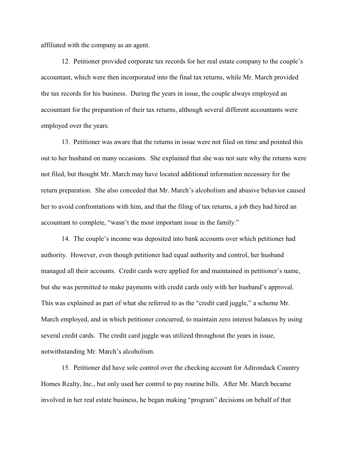affiliated with the company as an agent.

12. Petitioner provided corporate tax records for her real estate company to the couple's accountant, which were then incorporated into the final tax returns, while Mr. March provided the tax records for his business. During the years in issue, the couple always employed an accountant for the preparation of their tax returns, although several different accountants were employed over the years.

13. Petitioner was aware that the returns in issue were not filed on time and pointed this out to her husband on many occasions. She explained that she was not sure why the returns were not filed, but thought Mr. March may have located additional information necessary for the return preparation. She also conceded that Mr. March's alcoholism and abusive behavior caused her to avoid confrontations with him, and that the filing of tax returns, a job they had hired an accountant to complete, "wasn't the most important issue in the family."

14. The couple's income was deposited into bank accounts over which petitioner had authority. However, even though petitioner had equal authority and control, her husband managed all their accounts. Credit cards were applied for and maintained in petitioner's name, but she was permitted to make payments with credit cards only with her husband's approval. This was explained as part of what she referred to as the "credit card juggle," a scheme Mr. March employed, and in which petitioner concurred, to maintain zero interest balances by using several credit cards. The credit card juggle was utilized throughout the years in issue, notwithstanding Mr. March's alcoholism.

15. Petitioner did have sole control over the checking account for Adirondack Country Homes Realty, Inc., but only used her control to pay routine bills. After Mr. March became involved in her real estate business, he began making "program" decisions on behalf of that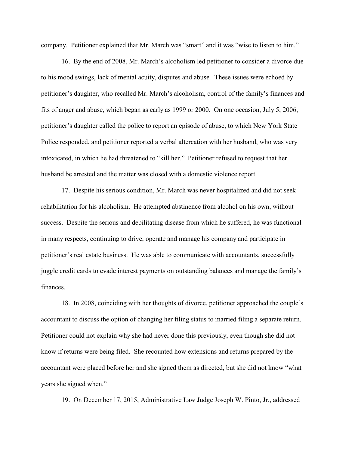company. Petitioner explained that Mr. March was "smart" and it was "wise to listen to him."

16. By the end of 2008, Mr. March's alcoholism led petitioner to consider a divorce due to his mood swings, lack of mental acuity, disputes and abuse. These issues were echoed by petitioner's daughter, who recalled Mr. March's alcoholism, control of the family's finances and fits of anger and abuse, which began as early as 1999 or 2000. On one occasion, July 5, 2006, petitioner's daughter called the police to report an episode of abuse, to which New York State Police responded, and petitioner reported a verbal altercation with her husband, who was very intoxicated, in which he had threatened to "kill her." Petitioner refused to request that her husband be arrested and the matter was closed with a domestic violence report.

17. Despite his serious condition, Mr. March was never hospitalized and did not seek rehabilitation for his alcoholism. He attempted abstinence from alcohol on his own, without success. Despite the serious and debilitating disease from which he suffered, he was functional in many respects, continuing to drive, operate and manage his company and participate in petitioner's real estate business. He was able to communicate with accountants, successfully juggle credit cards to evade interest payments on outstanding balances and manage the family's finances.

18. In 2008, coinciding with her thoughts of divorce, petitioner approached the couple's accountant to discuss the option of changing her filing status to married filing a separate return. Petitioner could not explain why she had never done this previously, even though she did not know if returns were being filed. She recounted how extensions and returns prepared by the accountant were placed before her and she signed them as directed, but she did not know "what years she signed when."

19. On December 17, 2015, Administrative Law Judge Joseph W. Pinto, Jr., addressed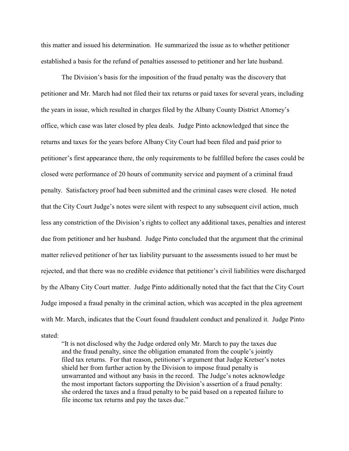this matter and issued his determination. He summarized the issue as to whether petitioner established a basis for the refund of penalties assessed to petitioner and her late husband.

The Division's basis for the imposition of the fraud penalty was the discovery that petitioner and Mr. March had not filed their tax returns or paid taxes for several years, including the years in issue, which resulted in charges filed by the Albany County District Attorney's office, which case was later closed by plea deals. Judge Pinto acknowledged that since the returns and taxes for the years before Albany City Court had been filed and paid prior to petitioner's first appearance there, the only requirements to be fulfilled before the cases could be closed were performance of 20 hours of community service and payment of a criminal fraud penalty. Satisfactory proof had been submitted and the criminal cases were closed. He noted that the City Court Judge's notes were silent with respect to any subsequent civil action, much less any constriction of the Division's rights to collect any additional taxes, penalties and interest due from petitioner and her husband. Judge Pinto concluded that the argument that the criminal matter relieved petitioner of her tax liability pursuant to the assessments issued to her must be rejected, and that there was no credible evidence that petitioner's civil liabilities were discharged by the Albany City Court matter. Judge Pinto additionally noted that the fact that the City Court Judge imposed a fraud penalty in the criminal action, which was accepted in the plea agreement with Mr. March, indicates that the Court found fraudulent conduct and penalized it. Judge Pinto stated:

"It is not disclosed why the Judge ordered only Mr. March to pay the taxes due and the fraud penalty, since the obligation emanated from the couple's jointly filed tax returns. For that reason, petitioner's argument that Judge Kretser's notes shield her from further action by the Division to impose fraud penalty is unwarranted and without any basis in the record. The Judge's notes acknowledge the most important factors supporting the Division's assertion of a fraud penalty: she ordered the taxes and a fraud penalty to be paid based on a repeated failure to file income tax returns and pay the taxes due."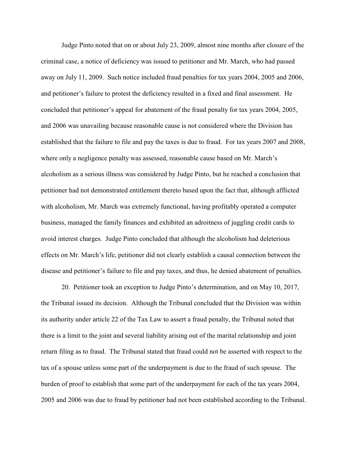Judge Pinto noted that on or about July 23, 2009, almost nine months after closure of the criminal case, a notice of deficiency was issued to petitioner and Mr. March, who had passed away on July 11, 2009. Such notice included fraud penalties for tax years 2004, 2005 and 2006, and petitioner's failure to protest the deficiency resulted in a fixed and final assessment. He concluded that petitioner's appeal for abatement of the fraud penalty for tax years 2004, 2005, and 2006 was unavailing because reasonable cause is not considered where the Division has established that the failure to file and pay the taxes is due to fraud. For tax years 2007 and 2008, where only a negligence penalty was assessed, reasonable cause based on Mr. March's alcoholism as a serious illness was considered by Judge Pinto, but he reached a conclusion that petitioner had not demonstrated entitlement thereto based upon the fact that, although afflicted with alcoholism, Mr. March was extremely functional, having profitably operated a computer business, managed the family finances and exhibited an adroitness of juggling credit cards to avoid interest charges. Judge Pinto concluded that although the alcoholism had deleterious effects on Mr. March's life, petitioner did not clearly establish a causal connection between the disease and petitioner's failure to file and pay taxes, and thus, he denied abatement of penalties.

20. Petitioner took an exception to Judge Pinto's determination, and on May 10, 2017, the Tribunal issued its decision. Although the Tribunal concluded that the Division was within its authority under article 22 of the Tax Law to assert a fraud penalty, the Tribunal noted that there is a limit to the joint and several liability arising out of the marital relationship and joint return filing as to fraud. The Tribunal stated that fraud could not be asserted with respect to the tax of a spouse unless some part of the underpayment is due to the fraud of such spouse. The burden of proof to establish that some part of the underpayment for each of the tax years 2004, 2005 and 2006 was due to fraud by petitioner had not been established according to the Tribunal.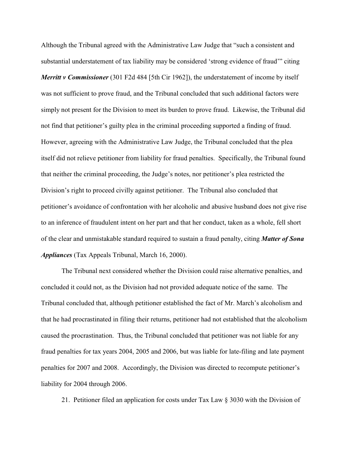Although the Tribunal agreed with the Administrative Law Judge that "such a consistent and substantial understatement of tax liability may be considered 'strong evidence of fraud'" citing

*Merritt v Commissioner* (301 F2d 484 [5th Cir 1962]), the understatement of income by itself was not sufficient to prove fraud, and the Tribunal concluded that such additional factors were simply not present for the Division to meet its burden to prove fraud. Likewise, the Tribunal did not find that petitioner's guilty plea in the criminal proceeding supported a finding of fraud. However, agreeing with the Administrative Law Judge, the Tribunal concluded that the plea itself did not relieve petitioner from liability for fraud penalties. Specifically, the Tribunal found that neither the criminal proceeding, the Judge's notes, nor petitioner's plea restricted the Division's right to proceed civilly against petitioner. The Tribunal also concluded that petitioner's avoidance of confrontation with her alcoholic and abusive husband does not give rise to an inference of fraudulent intent on her part and that her conduct, taken as a whole, fell short of the clear and unmistakable standard required to sustain a fraud penalty, citing *Matter of Sona Appliances* (Tax Appeals Tribunal, March 16, 2000).

The Tribunal next considered whether the Division could raise alternative penalties, and concluded it could not, as the Division had not provided adequate notice of the same. The Tribunal concluded that, although petitioner established the fact of Mr. March's alcoholism and that he had procrastinated in filing their returns, petitioner had not established that the alcoholism caused the procrastination. Thus, the Tribunal concluded that petitioner was not liable for any fraud penalties for tax years 2004, 2005 and 2006, but was liable for late-filing and late payment penalties for 2007 and 2008. Accordingly, the Division was directed to recompute petitioner's liability for 2004 through 2006.

21. Petitioner filed an application for costs under Tax Law § 3030 with the Division of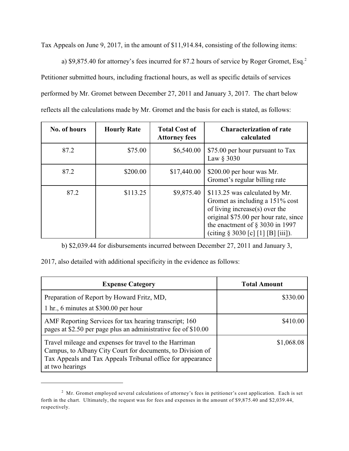Tax Appeals on June 9, 2017, in the amount of \$11,914.84, consisting of the following items:

a) \$9,875.40 for attorney's fees incurred for 87.2 hours of service by Roger Gromet, Esq.<sup>2</sup> Petitioner submitted hours, including fractional hours, as well as specific details of services performed by Mr. Gromet between December 27, 2011 and January 3, 2017. The chart below reflects all the calculations made by Mr. Gromet and the basis for each is stated, as follows:

| No. of hours | <b>Hourly Rate</b> | <b>Total Cost of</b><br><b>Attorney fees</b> | <b>Characterization of rate</b><br>calculated                                                                                                                                                                               |
|--------------|--------------------|----------------------------------------------|-----------------------------------------------------------------------------------------------------------------------------------------------------------------------------------------------------------------------------|
| 87.2         | \$75.00            | \$6,540.00                                   | \$75.00 per hour pursuant to Tax<br>Law § 3030                                                                                                                                                                              |
| 87.2         | \$200.00           | \$17,440.00                                  | \$200.00 per hour was Mr.<br>Gromet's regular billing rate                                                                                                                                                                  |
| 87.2         | \$113.25           | \$9,875.40                                   | \$113.25 was calculated by Mr.<br>Gromet as including a 151% cost<br>of living increase(s) over the<br>original \$75.00 per hour rate, since<br>the enactment of $\S$ 3030 in 1997<br>(citing $\S 3030$ [c] [1] [B] [iii]). |

b) \$2,039.44 for disbursements incurred between December 27, 2011 and January 3,

2017, also detailed with additional specificity in the evidence as follows:

| <b>Expense Category</b>                                                                                                                                                                               | <b>Total Amount</b> |
|-------------------------------------------------------------------------------------------------------------------------------------------------------------------------------------------------------|---------------------|
| Preparation of Report by Howard Fritz, MD,<br>1 hr., 6 minutes at \$300.00 per hour                                                                                                                   | \$330.00            |
| AMF Reporting Services for tax hearing transcript; 160<br>pages at \$2.50 per page plus an administrative fee of \$10.00                                                                              | \$410.00            |
| Travel mileage and expenses for travel to the Harriman<br>Campus, to Albany City Court for documents, to Division of<br>Tax Appeals and Tax Appeals Tribunal office for appearance<br>at two hearings | \$1,068.08          |

<sup>&</sup>lt;sup>2</sup> Mr. Gromet employed several calculations of attorney's fees in petitioner's cost application. Each is set forth in the chart. Ultimately, the request was for fees and expenses in the amount of \$9,875.40 and \$2,039.44, respectively.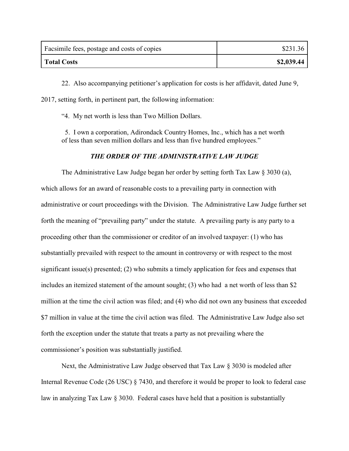| Facsimile fees, postage and costs of copies | \$231.36   |
|---------------------------------------------|------------|
| <b>Total Costs</b>                          | \$2,039.44 |

22. Also accompanying petitioner's application for costs is her affidavit, dated June 9, 2017, setting forth, in pertinent part, the following information:

"4. My net worth is less than Two Million Dollars.

 5. I own a corporation, Adirondack Country Homes, Inc., which has a net worth of less than seven million dollars and less than five hundred employees."

# *THE ORDER OF THE ADMINISTRATIVE LAW JUDGE*

The Administrative Law Judge began her order by setting forth Tax Law § 3030 (a), which allows for an award of reasonable costs to a prevailing party in connection with administrative or court proceedings with the Division. The Administrative Law Judge further set forth the meaning of "prevailing party" under the statute. A prevailing party is any party to a proceeding other than the commissioner or creditor of an involved taxpayer: (1) who has substantially prevailed with respect to the amount in controversy or with respect to the most significant issue(s) presented; (2) who submits a timely application for fees and expenses that includes an itemized statement of the amount sought; (3) who had a net worth of less than \$2 million at the time the civil action was filed; and (4) who did not own any business that exceeded \$7 million in value at the time the civil action was filed. The Administrative Law Judge also set forth the exception under the statute that treats a party as not prevailing where the commissioner's position was substantially justified.

Next, the Administrative Law Judge observed that Tax Law § 3030 is modeled after Internal Revenue Code (26 USC) § 7430, and therefore it would be proper to look to federal case law in analyzing Tax Law § 3030. Federal cases have held that a position is substantially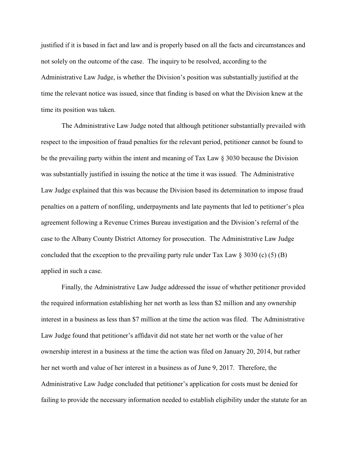justified if it is based in fact and law and is properly based on all the facts and circumstances and not solely on the outcome of the case. The inquiry to be resolved, according to the Administrative Law Judge, is whether the Division's position was substantially justified at the time the relevant notice was issued, since that finding is based on what the Division knew at the time its position was taken.

The Administrative Law Judge noted that although petitioner substantially prevailed with respect to the imposition of fraud penalties for the relevant period, petitioner cannot be found to be the prevailing party within the intent and meaning of Tax Law § 3030 because the Division was substantially justified in issuing the notice at the time it was issued. The Administrative Law Judge explained that this was because the Division based its determination to impose fraud penalties on a pattern of nonfiling, underpayments and late payments that led to petitioner's plea agreement following a Revenue Crimes Bureau investigation and the Division's referral of the case to the Albany County District Attorney for prosecution. The Administrative Law Judge concluded that the exception to the prevailing party rule under Tax Law  $\S 3030$  (c) (5) (B) applied in such a case.

Finally, the Administrative Law Judge addressed the issue of whether petitioner provided the required information establishing her net worth as less than \$2 million and any ownership interest in a business as less than \$7 million at the time the action was filed. The Administrative Law Judge found that petitioner's affidavit did not state her net worth or the value of her ownership interest in a business at the time the action was filed on January 20, 2014, but rather her net worth and value of her interest in a business as of June 9, 2017. Therefore, the Administrative Law Judge concluded that petitioner's application for costs must be denied for failing to provide the necessary information needed to establish eligibility under the statute for an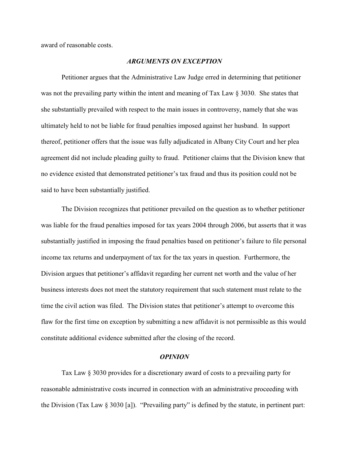award of reasonable costs.

#### *ARGUMENTS ON EXCEPTION*

Petitioner argues that the Administrative Law Judge erred in determining that petitioner was not the prevailing party within the intent and meaning of Tax Law § 3030. She states that she substantially prevailed with respect to the main issues in controversy, namely that she was ultimately held to not be liable for fraud penalties imposed against her husband. In support thereof, petitioner offers that the issue was fully adjudicated in Albany City Court and her plea agreement did not include pleading guilty to fraud. Petitioner claims that the Division knew that no evidence existed that demonstrated petitioner's tax fraud and thus its position could not be said to have been substantially justified.

The Division recognizes that petitioner prevailed on the question as to whether petitioner was liable for the fraud penalties imposed for tax years 2004 through 2006, but asserts that it was substantially justified in imposing the fraud penalties based on petitioner's failure to file personal income tax returns and underpayment of tax for the tax years in question. Furthermore, the Division argues that petitioner's affidavit regarding her current net worth and the value of her business interests does not meet the statutory requirement that such statement must relate to the time the civil action was filed. The Division states that petitioner's attempt to overcome this flaw for the first time on exception by submitting a new affidavit is not permissible as this would constitute additional evidence submitted after the closing of the record.

### *OPINION*

Tax Law § 3030 provides for a discretionary award of costs to a prevailing party for reasonable administrative costs incurred in connection with an administrative proceeding with the Division (Tax Law § 3030 [a]). "Prevailing party" is defined by the statute, in pertinent part: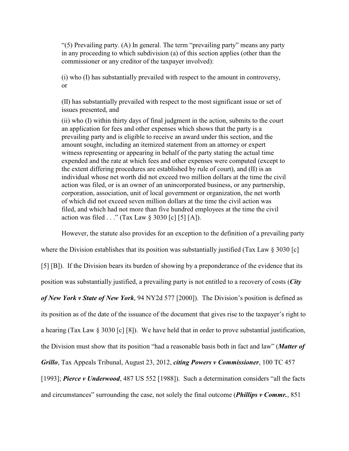"(5) Prevailing party. (A) In general. The term "prevailing party" means any party in any proceeding to which subdivision (a) of this section applies (other than the commissioner or any creditor of the taxpayer involved):

(i) who (I) has substantially prevailed with respect to the amount in controversy, or

(II) has substantially prevailed with respect to the most significant issue or set of issues presented, and

(ii) who (I) within thirty days of final judgment in the action, submits to the court an application for fees and other expenses which shows that the party is a prevailing party and is eligible to receive an award under this section, and the amount sought, including an itemized statement from an attorney or expert witness representing or appearing in behalf of the party stating the actual time expended and the rate at which fees and other expenses were computed (except to the extent differing procedures are established by rule of court), and (II) is an individual whose net worth did not exceed two million dollars at the time the civil action was filed, or is an owner of an unincorporated business, or any partnership, corporation, association, unit of local government or organization, the net worth of which did not exceed seven million dollars at the time the civil action was filed, and which had not more than five hundred employees at the time the civil action was filed  $\ldots$ " (Tax Law § 3030 [c] [5] [A]).

However, the statute also provides for an exception to the definition of a prevailing party

where the Division establishes that its position was substantially justified (Tax Law § 3030 [c]

[5] [B]). If the Division bears its burden of showing by a preponderance of the evidence that its

position was substantially justified, a prevailing party is not entitled to a recovery of costs (*City*

*of New York v State of New York*, 94 NY2d 577 [2000]). The Division's position is defined as

its position as of the date of the issuance of the document that gives rise to the taxpayer's right to

a hearing (Tax Law § 3030 [c] [8]). We have held that in order to prove substantial justification,

the Division must show that its position "had a reasonable basis both in fact and law" (*Matter of*

*Grillo*, Tax Appeals Tribunal, August 23, 2012, *citing Powers v Commissioner*, 100 TC 457

[1993]; *Pierce v Underwood*, 487 US 552 [1988]). Such a determination considers "all the facts" and circumstances" surrounding the case, not solely the final outcome (*Phillips v Commr.*, 851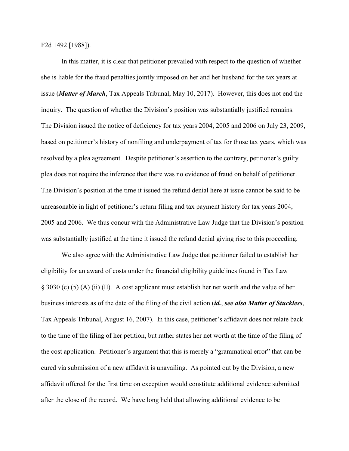F2d 1492 [1988]).

In this matter, it is clear that petitioner prevailed with respect to the question of whether she is liable for the fraud penalties jointly imposed on her and her husband for the tax years at issue (*Matter of March*, Tax Appeals Tribunal, May 10, 2017). However, this does not end the inquiry. The question of whether the Division's position was substantially justified remains. The Division issued the notice of deficiency for tax years 2004, 2005 and 2006 on July 23, 2009, based on petitioner's history of nonfiling and underpayment of tax for those tax years, which was resolved by a plea agreement. Despite petitioner's assertion to the contrary, petitioner's guilty plea does not require the inference that there was no evidence of fraud on behalf of petitioner. The Division's position at the time it issued the refund denial here at issue cannot be said to be unreasonable in light of petitioner's return filing and tax payment history for tax years 2004, 2005 and 2006. We thus concur with the Administrative Law Judge that the Division's position was substantially justified at the time it issued the refund denial giving rise to this proceeding.

We also agree with the Administrative Law Judge that petitioner failed to establish her eligibility for an award of costs under the financial eligibility guidelines found in Tax Law § 3030 (c) (5) (A) (ii) (II). A cost applicant must establish her net worth and the value of her business interests as of the date of the filing of the civil action (*id.*, *see also Matter of Stuckless*, Tax Appeals Tribunal, August 16, 2007). In this case, petitioner's affidavit does not relate back to the time of the filing of her petition, but rather states her net worth at the time of the filing of the cost application. Petitioner's argument that this is merely a "grammatical error" that can be cured via submission of a new affidavit is unavailing. As pointed out by the Division, a new affidavit offered for the first time on exception would constitute additional evidence submitted after the close of the record. We have long held that allowing additional evidence to be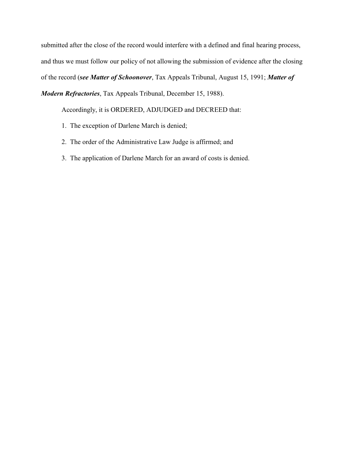submitted after the close of the record would interfere with a defined and final hearing process, and thus we must follow our policy of not allowing the submission of evidence after the closing of the record (*see Matter of Schoonover*, Tax Appeals Tribunal, August 15, 1991; *Matter of Modern Refractories*, Tax Appeals Tribunal, December 15, 1988).

Accordingly, it is ORDERED, ADJUDGED and DECREED that:

- 1. The exception of Darlene March is denied;
- 2. The order of the Administrative Law Judge is affirmed; and
- 3. The application of Darlene March for an award of costs is denied.